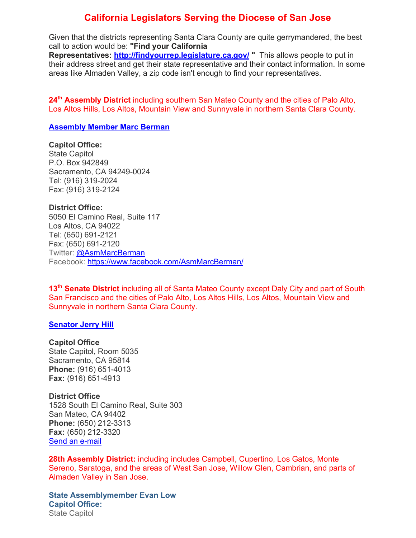# **California Legislators Serving the Diocese of San Jose**

Given that the districts representing Santa Clara County are quite gerrymandered, the best call to action would be: **"Find your California Representatives: http://findyourrep.legislature.ca.gov/ "** This allows people to put in their address street and get their state representative and their contact information. In some areas like Almaden Valley, a zip code isn't enough to find your representatives.

**24th Assembly District** including southern San Mateo County and the cities of Palo Alto, Los Altos Hills, Los Altos, Mountain View and Sunnyvale in northern Santa Clara County.

### **Assembly Member Marc Berman**

# **Capitol Office:**

State Capitol P.O. Box 942849 Sacramento, CA 94249-0024 Tel: (916) 319-2024 Fax: (916) 319-2124

**District Office:**

5050 El Camino Real, Suite 117 Los Altos, CA 94022 Tel: (650) 691-2121 Fax: (650) 691-2120 Twitter: @AsmMarcBerman Facebook: https://www.facebook.com/AsmMarcBerman/

**13th Senate District** including all of Santa Mateo County except Daly City and part of South San Francisco and the cities of Palo Alto, Los Altos Hills, Los Altos, Mountain View and Sunnyvale in northern Santa Clara County.

### **Senator Jerry Hill**

#### **Capitol Office**

State Capitol, Room 5035 Sacramento, CA 95814 **Phone:** (916) 651-4013 **Fax:** (916) 651-4913

### **District Office**

1528 South El Camino Real, Suite 303 San Mateo, CA 94402 **Phone:** (650) 212-3313 **Fax:** (650) 212-3320 Send an e-mail

**28th Assembly District:** including includes Campbell, Cupertino, Los Gatos, Monte Sereno, Saratoga, and the areas of West San Jose, Willow Glen, Cambrian, and parts of Almaden Valley in San Jose.

**State Assemblymember Evan Low Capitol Office:** State Capitol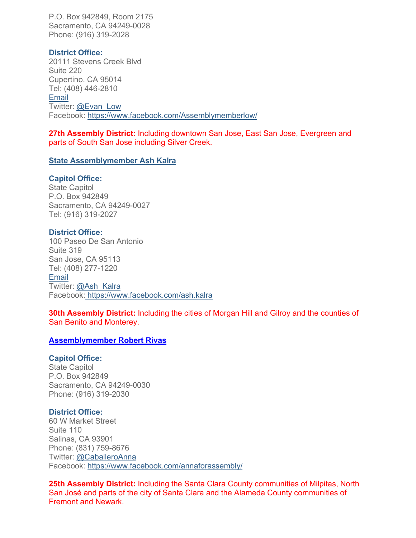P.O. Box 942849, Room 2175 Sacramento, CA 94249-0028 Phone: (916) 319-2028

# **District Office:**

20111 Stevens Creek Blvd Suite 220 Cupertino, CA 95014 Tel: (408) 446-2810 **Email** Twitter: @Evan\_Low Facebook: https://www.facebook.com/Assemblymemberlow/

**27th Assembly District:** Including downtown San Jose, East San Jose, Evergreen and parts of South San Jose including Silver Creek.

# **State Assemblymember Ash Kalra**

# **Capitol Office:**

State Capitol P.O. Box 942849 Sacramento, CA 94249-0027 Tel: (916) 319-2027

# **District Office:**

100 Paseo De San Antonio Suite 319 San Jose, CA 95113 Tel: (408) 277-1220 Email Twitter: @Ash\_Kalra Facebook: https://www.facebook.com/ash.kalra

**30th Assembly District:** Including the cities of Morgan Hill and Gilroy and the counties of San Benito and Monterey.

# **Assemblymember Robert Rivas**

# **Capitol Office:**

State Capitol P.O. Box 942849 Sacramento, CA 94249-0030 Phone: (916) 319-2030

# **District Office:**

60 W Market Street Suite 110 Salinas, CA 93901 Phone: (831) 759-8676 Twitter: @CaballeroAnna Facebook: https://www.facebook.com/annaforassembly/

**25th Assembly District:** Including the Santa Clara County communities of Milpitas, North San José and parts of the city of Santa Clara and the Alameda County communities of Fremont and Newark.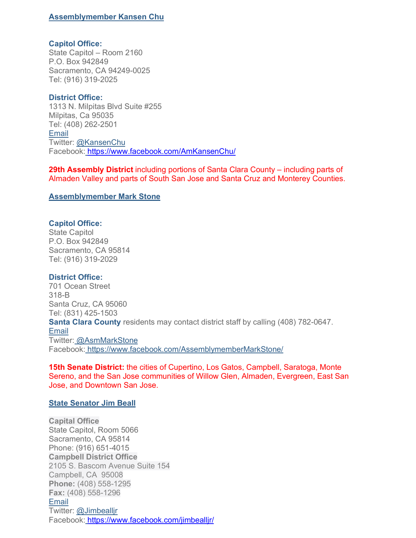# **Assemblymember Kansen Chu**

#### **Capitol Office:**

State Capitol – Room 2160 P.O. Box 942849 Sacramento, CA 94249-0025 Tel: (916) 319-2025

### **District Office:**

1313 N. Milpitas Blvd Suite #255 Milpitas, Ca 95035 Tel: (408) 262-2501 Email Twitter: @KansenChu Facebook: https://www.facebook.com/AmKansenChu/

**29th Assembly District** including portions of Santa Clara County – including parts of Almaden Valley and parts of South San Jose and Santa Cruz and Monterey Counties.

### **Assemblymember Mark Stone**

### **Capitol Office:**

State Capitol P.O. Box 942849 Sacramento, CA 95814 Tel: (916) 319-2029

### **District Office:**

701 Ocean Street 318-B Santa Cruz, CA 95060 Tel: (831) 425-1503 **Santa Clara County** residents may contact district staff by calling (408) 782-0647. Email Twitter: @AsmMarkStone Facebook: https://www.facebook.com/AssemblymemberMarkStone/

**15th Senate District:** the cities of Cupertino, Los Gatos, Campbell, Saratoga, Monte Sereno, and the San Jose communities of Willow Glen, Almaden, Evergreen, East San Jose, and Downtown San Jose.

### **State Senator Jim Beall**

**Capital Office** State Capitol, Room 5066 Sacramento, CA 95814 Phone: (916) 651-4015 **Campbell District Office** 2105 S. Bascom Avenue Suite 154 Campbell, CA 95008 **Phone:** (408) 558-1295 **Fax:** (408) 558-1296 Email Twitter: @Jimbealljr Facebook: https://www.facebook.com/jimbeallir/